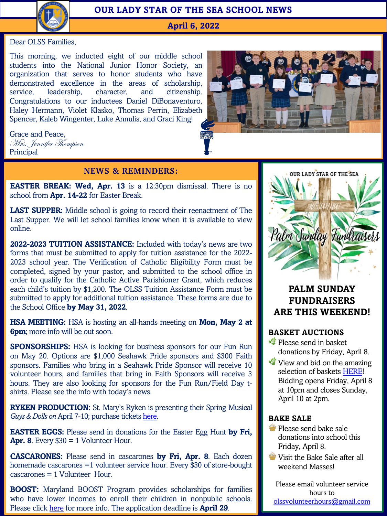

## **OUR LADY STAR OF THE SEA SCHOOL NEWS**

**April 6, 2022**

#### Dear OLSS Families,

This morning, we inducted eight of our middle school students into the National Junior Honor Society, an organization that serves to honor students who have demonstrated excellence in the areas of scholarship, service, leadership, character, and citizenship. Congratulations to our inductees Daniel DiBonaventuro, Haley Hermann, Violet Klasko, Thomas Perrin, Elizabeth Spencer, Kaleb Wingenter, Luke Annulis, and Graci King!



## Mrs. Jennifer Thompson Principal

Grace and Peace,

### **NEWS & REMINDERS:**

**EASTER BREAK: Wed, Apr. 13** is a 12:30pm dismissal. There is no school from **Apr. 14-22** for Easter Break.

**LAST SUPPER:** Middle school is going to record their reenactment of The Last Supper. We will let school families know when it is available to view online.

**2022-2023 TUITION ASSISTANCE:** Included with today's news are two forms that must be submitted to apply for tuition assistance for the 2022- 2023 school year. The Verification of Catholic Eligibility Form must be completed, signed by your pastor, and submitted to the school office in order to qualify for the Catholic Active Parishioner Grant, which reduces each child's tuition by \$1,200. The OLSS Tuition Assistance Form must be submitted to apply for additional tuition assistance. These forms are due to the School Office **by May 31, 2022**.

**HSA MEETING:** HSA is hosting an all-hands meeting on **Mon, May 2 at 6pm**; more info will be out soon.

**SPONSORSHIPS:** HSA is looking for business sponsors for our Fun Run on May 20. Options are \$1,000 Seahawk Pride sponsors and \$300 Faith sponsors. Families who bring in a Seah[awk](https://smrhs.booktix.com/) Pride Sponsor will receive 10 volunteer hours, and families that bring in Faith Sponsors will receive 3 hours. They are also looking for sponsors for the Fun Run/Field Day tshirts. Please see the info with today's news.

**RYKEN PRODUCTION:** St. Mary's Ryken is presenting their Spring Musical *Guys & Dolls on April 7-10; purchase tickets here.* 

**EASTER EGGS:** Please send in donations for the Easter Egg Hunt **by Fri, Apr. 8.** Every  $$30 = 1$  Volunteer Hour.

**CASCARO[NES:](https://marylandpublicschools.org/Pages/boost/application.aspx)** Please send in cascarones **by Fri, Apr. 8**. Each dozen homemade cascarones =1 volunteer service hour. Every \$30 of store-bought cascarones = 1 Volunteer Hour.

**BOOST:** Maryland BOOST Program provides scholarships for families who have lower incomes to enroll their children in nonpublic schools. Please click here for more info. The application deadline is **April 29**.



# **PALM SUNDAY FUNDRAISERS ARE THIS WEE[KEND](https://www.32auctions.com/organizations/81357/auctions/121410?r=1&t=all&fbclid=IwAR2ZaiYT4VoHtGK6LCl0IujYFC3M-JbyAs1LknBipdD1C6KFi3SAoOomD4Y)!**

### **BASKET AUCTIONS**

- Please send in basket donations by Friday, April 8.
- View and bid on the amazing selection of baskets HERE! Bidding opens Friday, April 8 at 10pm and closes Sunday, April 10 at 2pm.

### **BAKE SALE**

- **Please send bake sale** donations into school this [Friday, April 8.](mailto:olssvolunteerhours@gmail.com)
- **Visit the Bake Sale after all** weekend Masses!

hours to <mark>olssvolunteerhours@gmail.com</mark> Please email volunteer service